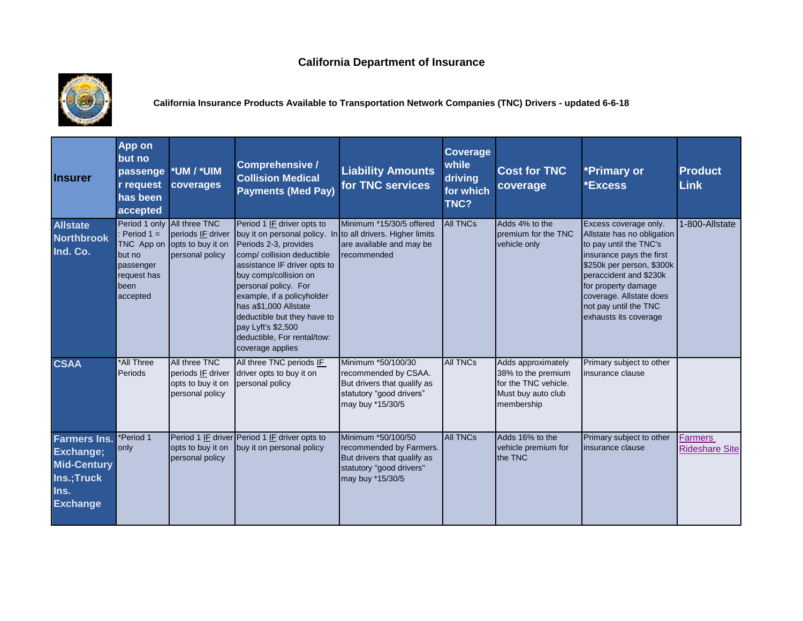## **California Department of Insurance**



**California Insurance Products Available to Transportation Network Companies (TNC) Drivers - updated 6-6-18** 

| <b>Insurer</b>                                                                                  | App on<br>but no<br>passenge<br>r request<br>has been<br>accepted                    | *UM / *UIM<br>coverages                                                                  | <b>Comprehensive /</b><br><b>Collision Medical</b><br><b>Payments (Med Pay)</b>                                                                                                                                                                                                                                                                                                                  | <b>Liability Amounts</b><br>for TNC services                                                                                 | Coverage<br>while<br>driving<br>for which<br>TNC? | <b>Cost for TNC</b><br>coverage                                                                      | *Primary or<br><b>*Excess</b>                                                                                                                                                                                                                                        | <b>Product</b><br><b>Link</b>           |
|-------------------------------------------------------------------------------------------------|--------------------------------------------------------------------------------------|------------------------------------------------------------------------------------------|--------------------------------------------------------------------------------------------------------------------------------------------------------------------------------------------------------------------------------------------------------------------------------------------------------------------------------------------------------------------------------------------------|------------------------------------------------------------------------------------------------------------------------------|---------------------------------------------------|------------------------------------------------------------------------------------------------------|----------------------------------------------------------------------------------------------------------------------------------------------------------------------------------------------------------------------------------------------------------------------|-----------------------------------------|
| <b>Allstate</b><br><b>Northbrook</b><br>Ind. Co.                                                | Period $1 =$<br>TNC App on<br>but no<br>passenger<br>request has<br>been<br>accepted | Period 1 only All three TNC<br>periods IF driver<br>opts to buy it on<br>personal policy | Period 1 IF driver opts to<br>buy it on personal policy. In to all drivers. Higher limits<br>Periods 2-3, provides<br>comp/ collision deductible<br>assistance IF driver opts to<br>buy comp/collision on<br>personal policy. For<br>example, if a policyholder<br>has a\$1,000 Allstate<br>deductible but they have to<br>pay Lyft's \$2,500<br>deductible, For rental/tow:<br>coverage applies | Minimum *15/30/5 offered<br>are available and may be<br>recommended                                                          | <b>All TNCs</b>                                   | Adds 4% to the<br>premium for the TNC<br>vehicle only                                                | Excess coverage only.<br>Allstate has no obligation<br>to pay until the TNC's<br>insurance pays the first<br>\$250k per person, \$300k<br>peraccident and \$230k<br>for property damage<br>coverage. Allstate does<br>not pay until the TNC<br>exhausts its coverage | 1-800-Allstate                          |
| <b>CSAA</b>                                                                                     | *All Three<br>Periods                                                                | All three TNC<br>periods IF driver<br>opts to buy it on<br>personal policy               | All three TNC periods IF<br>driver opts to buy it on<br>personal policy                                                                                                                                                                                                                                                                                                                          | Minimum *50/100/30<br>recommended by CSAA.<br>But drivers that qualify as<br>statutory "good drivers"<br>may buy *15/30/5    | <b>All TNCs</b>                                   | Adds approximately<br>38% to the premium<br>for the TNC vehicle.<br>Must buy auto club<br>membership | Primary subject to other<br>insurance clause                                                                                                                                                                                                                         |                                         |
| <b>Farmers Ins.</b><br>Exchange;<br><b>Mid-Century</b><br>Ins.;Truck<br>Ins.<br><b>Exchange</b> | *Period 1<br>only                                                                    | opts to buy it on<br>personal policy                                                     | Period 1 IF driver Period 1 IF driver opts to<br>buy it on personal policy                                                                                                                                                                                                                                                                                                                       | Minimum *50/100/50<br>recommended by Farmers.<br>But drivers that qualify as<br>statutory "good drivers"<br>may buy *15/30/5 | <b>All TNCs</b>                                   | Adds 16% to the<br>vehicle premium for<br>the TNC                                                    | Primary subject to other<br>insurance clause                                                                                                                                                                                                                         | <b>Farmers</b><br><b>Rideshare Site</b> |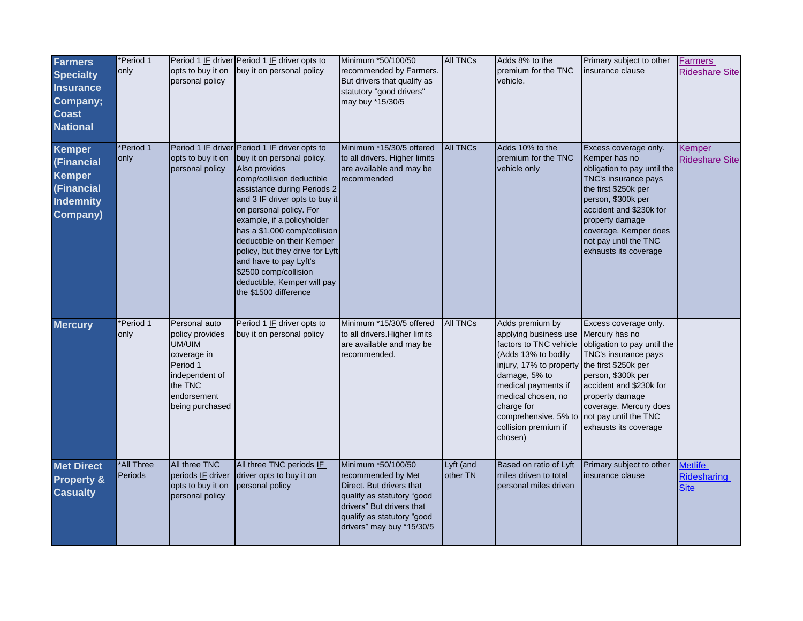| <b>Farmers</b><br><b>Specialty</b><br><b>Insurance</b><br>Company;<br><b>Coast</b><br><b>National</b> | *Period 1<br>only     | opts to buy it on<br>personal policy                                                                                                 | Period 1 IF driver Period 1 IF driver opts to<br>buy it on personal policy                                                                                                                                                                                                                                                                                                                                                                                      | Minimum *50/100/50<br>recommended by Farmers.<br>But drivers that qualify as<br>statutory "good drivers"<br>may buy *15/30/5                                                               | <b>All TNCs</b>       | Adds 8% to the<br>premium for the TNC<br>vehicle.                                                                                                                                                                                                           | Primary subject to other<br>nsurance clause                                                                                                                                                                                                                            | <b>Farmers</b><br><b>Rideshare Site</b>      |
|-------------------------------------------------------------------------------------------------------|-----------------------|--------------------------------------------------------------------------------------------------------------------------------------|-----------------------------------------------------------------------------------------------------------------------------------------------------------------------------------------------------------------------------------------------------------------------------------------------------------------------------------------------------------------------------------------------------------------------------------------------------------------|--------------------------------------------------------------------------------------------------------------------------------------------------------------------------------------------|-----------------------|-------------------------------------------------------------------------------------------------------------------------------------------------------------------------------------------------------------------------------------------------------------|------------------------------------------------------------------------------------------------------------------------------------------------------------------------------------------------------------------------------------------------------------------------|----------------------------------------------|
| <b>Kemper</b><br>(Financial<br><b>Kemper</b><br>(Financial<br><b>Indemnity</b><br><b>Company)</b>     | *Period 1<br>only     | opts to buy it on<br>personal policy                                                                                                 | Period 1 IF driver Period 1 IF driver opts to<br>buy it on personal policy.<br>Also provides<br>comp/collision deductible<br>assistance during Periods 2<br>and 3 IF driver opts to buy it<br>on personal policy. For<br>example, if a policyholder<br>has a \$1,000 comp/collision<br>deductible on their Kemper<br>policy, but they drive for Lyft<br>and have to pay Lyft's<br>\$2500 comp/collision<br>deductible, Kemper will pay<br>the \$1500 difference | Minimum *15/30/5 offered<br>to all drivers. Higher limits<br>are available and may be<br>recommended                                                                                       | <b>All TNCs</b>       | Adds 10% to the<br>premium for the TNC<br>vehicle only                                                                                                                                                                                                      | Excess coverage only.<br>Kemper has no<br>obligation to pay until the<br>TNC's insurance pays<br>the first \$250k per<br>person, \$300k per<br>accident and \$230k for<br>property damage<br>coverage. Kemper does<br>not pay until the TNC<br>exhausts its coverage   | Kemper<br><b>Rideshare Site</b>              |
| <b>Mercury</b>                                                                                        | *Period 1<br>only     | Personal auto<br>policy provides<br>UM/UIM<br>coverage in<br>Period 1<br>independent of<br>the TNC<br>endorsement<br>being purchased | Period 1 IF driver opts to<br>buy it on personal policy                                                                                                                                                                                                                                                                                                                                                                                                         | Minimum *15/30/5 offered<br>to all drivers. Higher limits<br>are available and may be<br>recommended.                                                                                      | <b>All TNCs</b>       | Adds premium by<br>applying business use<br>factors to TNC vehicle<br>(Adds 13% to bodily<br>injury, 17% to property<br>damage, 5% to<br>medical payments if<br>medical chosen, no<br>charge for<br>comprehensive, 5% to<br>collision premium if<br>chosen) | Excess coverage only.<br>Mercury has no<br>obligation to pay until the<br>TNC's insurance pays<br>the first \$250k per<br>person, \$300k per<br>accident and \$230k for<br>property damage<br>coverage. Mercury does<br>not pay until the TNC<br>exhausts its coverage |                                              |
| <b>Met Direct</b><br><b>Property &amp;</b><br><b>Casualty</b>                                         | *All Three<br>Periods | All three TNC<br>periods IF driver<br>opts to buy it on<br>personal policy                                                           | All three TNC periods IF<br>driver opts to buy it on<br>personal policy                                                                                                                                                                                                                                                                                                                                                                                         | Minimum *50/100/50<br>recommended by Met<br>Direct. But drivers that<br>qualify as statutory "good<br>drivers" But drivers that<br>qualify as statutory "good<br>drivers" may buy *15/30/5 | Lyft (and<br>other TN | Based on ratio of Lyft<br>miles driven to total<br>personal miles driven                                                                                                                                                                                    | Primary subject to other<br>insurance clause                                                                                                                                                                                                                           | <b>Metlife</b><br>Ridesharing<br><b>Site</b> |